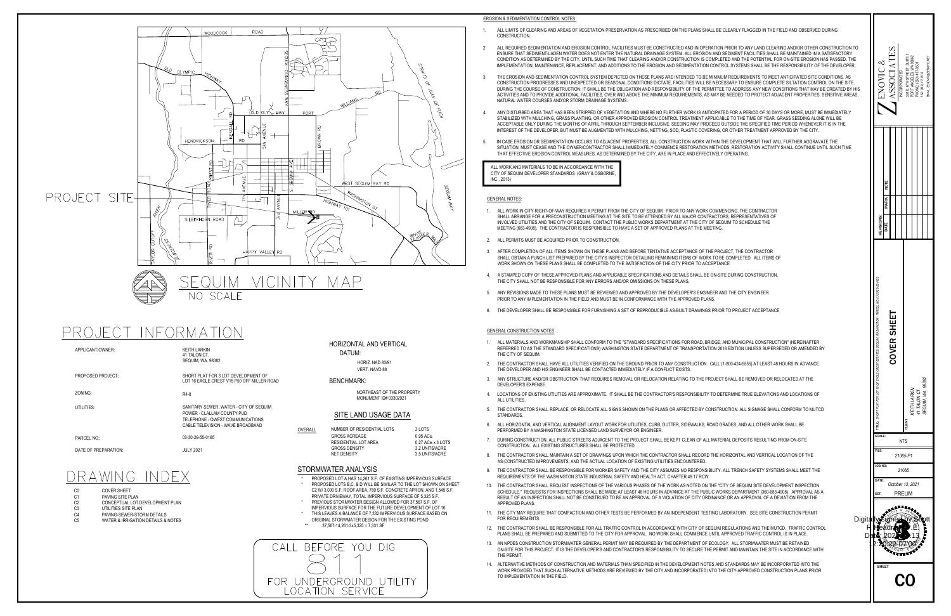

 $\begin{array}{ccc} \text{C0} & \text{C0} & \text{C0} \ \text{C1} & \text{PAVING SITE PLAN} \ \text{C2} & \text{C0} & \text{C0} \ \text{C3} & \text{C0} & \text{C1} \ \text{C4} & \text{PAVING SITE PLAN} \ \text{C5} & \text{UTLITIES SITE PLAN} \ \text{C6} & \text{PAVING-SEWER-STORM DETAILS} \end{array}$ 

- 
- 
- 
- 
- CALL BEFORE YOU DIG FOR UNDERGROUND UTILITY LOCATION SERVICE

DATUM:<br>
HORIZ. NAD 83/91<br>
VERT. NAVD 88<br>
ENCHMARK:<br>
NORTHEAST OF THE PROPI<br>
MONUMENT ID# 03302921<br>
SITE LAND USAGE DATA NORTHEAST OF THE PROPERTY<br>
MONUMENT ID# 03302921<br>
SITE LAND USAGE DATA<br>
OVERALL NUMBER OF RESIDENTIAL LOTS 3 LOTS



|        | <b>MONUMENT ID# 03302921</b>                                                                                                    |                                                                                           |
|--------|---------------------------------------------------------------------------------------------------------------------------------|-------------------------------------------------------------------------------------------|
|        | SITE LAND USAGE DATA                                                                                                            |                                                                                           |
| VERALL | NUMBER OF RESIDENTIAL LOTS<br><b>GROSS ACREAGE</b><br><b>RESIDENTIAL LOT AREA</b><br><b>GROSS DENSITY</b><br><b>NET DENSITY</b> | 3 LOTS<br>$0.95$ AC $\pm$<br>$0.27$ AC $\pm$ x 3 LOTS<br>3.2 UNITS/ACRE<br>3.5 UNITS/ACRE |
|        | TORMWATER ANALYSIS                                                                                                              |                                                                                           |
| ¥      | PROPOSED LOT A HAS 14,261 S.F. OF EXISTING IMPERVIOUS SURFACE                                                                   |                                                                                           |

GROSS DENSITY<br>
NET DENSITY<br>
NET DENSITY<br>
PROPOSED LOT A HAS 14,261 S.F. OF EXISTING IMPERVIOUS SURFACE<br>
\* PROPOSED LOTS B,C, & D WILL BE SIMILAR TO THE LOT SHOWN ON SHEET PROPOSED LOT A HAS 14,261 S.F. OF EXISTING IMPERVIOUS SURFACE<br>PROPOSED LOTS B,C, & D WILL BE SIMILAR TO THE LOT SHOWN ON SHE<br>C2 W/ 3,000 S.F. ROOF AREA, 780 S.F. CONCRETE APRON, AND 1,545 S.F. PROPOSED LOTS B,C, & D WILL BE SIMILAR TO THE LOT SHOWN<br>C2 W/ 3,000 S.F. ROOF AREA, 780 S.F. CONCRETE APRON, AND 1,<br>PRIVATE DRIVEWAY, TOTAL IMPERVIOUS SURFACE OF 5,325 S.F. TORMWATER ANALYSIS<br>
\* PROPOSED LOT A HAS 14,261 S.F. OF EXISTING IMPERVIOUS SU<br>
\* PROPOSED LOTS B,C, & D WILL BE SIMILAR TO THE LOT SHOWN<br>
C2 W/ 3,000 S.F. ROOF AREA, 780 S.F. CONCRETE APRON, AND 1<br>
PRIVATE DRIVEWAY, TOTAL STORMWATER ANALYSIS<br>
\* PROPOSED LOT A HAS 14,261 S.F. OF EXISTING IMPERVIOUS SURFACE<br>
\* PROPOSED LOTS B,C, & D WILL BE SIMILAR TO THE LOT SHOWN ON SHE<br>
C2 W/ 3,000 S.F. ROOF AREA, 780 S.F. CONCRETE APRON, AND 1,545 S.F.<br>
P TORMWATER ANALYSIS<br>
\* PROPOSED LOT A HAS 14,261 S.F. OF EXISTING IMPERVIOUS SURFAC<br>
\* PROPOSED LOTS B,C, & D WILL BE SIMILAR TO THE LOT SHOWN ON {<br>
C2 W/ 3,000 S.F. ROOF AREA, 780 S.F. CONCRETE APRON, AND 1,545 {<br>
PRIVATE PROPOSED LOT A HAS 14,261 S.F. OF EXISTING IMPERVIOU<br>PROPOSED LOTS B,C, & D WILL BE SIMILAR TO THE LOT SH<br>C2 W/ 3,000 S.F. ROOF AREA, 780 S.F. CONCRETE APRON, A<br>PRIVATE DRIVEWAY, TOTAL IMPERVIOUS SURFACE OF 5,32<br>PREVIOUS S SITE LAND USAC<br>
OVERALL MUMBER OF RESIDENTIAL I<br>
GROSS ACREAGE<br>
RESIDENTIAL LOT AREA<br>
GROSS DENSITY<br>
NET DENSITY<br>
NET DENSITY<br>
STORMWATER ANALYSIS<br>
\* PROPOSED LOT A HAS 14,261 S.F. OF<br>
PROPOSED LOTS B,C, & D WILL BE SI<br>
C2



- 
- 
- 
- 
- 

- 
- 
- 
- 
- 
- 

- 
- 
- 
- 
- 
- 
- 
- 
- 
- NERAL CONFIRMATION INTERNATION CONTROL TO THE FIELD IN A CASE ERODOR OF SEDUITOR OF SEDUITOR TO THE FIELD IN ACCORDATION CONFIRMED TO THE THE CONFIRMENT CONFIRMED TO BE IN ACCORDANCE TO A DAMOGRAM CONFIRMED TO THE THIN ACC
- 
- FOR REQUIREMENTS.<br>THE CONTRACTOR SHALL BE RESPONSIBLE FOR ALL TRAFFIC CONTROL IN ACCORDANCE WITH CITY OF SEQUIM REGULATIONS AND THE MUTCD. TRAFFIC (<br>PLANS SHALL BE PREPARED AND SUBMITTED TO THE CITY FOR APPROVAL. NO WORK S
- 13. AN NPDES CONSTRUCTION STORMWATER GENERAL PERMIT MAY BE REQUIRED BY THE DEPARTMENT OF ECOLOGY. ALL STORMWATER MUST BE RETAINED<br>ON-SITE FOR THIS PROJECT. IT IS THE DEVELOPER'S AND CONTRACTOR'S RESPONSIBILITY TO SECURE TH
- 

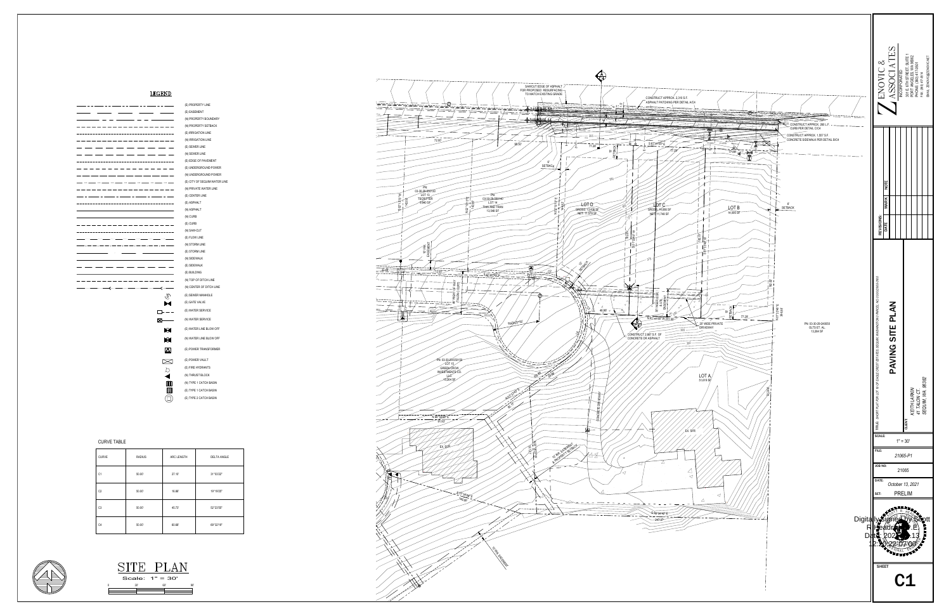CHAN THE SPECIES AND SURVEY CURVE TABLE<br>
SURVEY AND SURVEY CURVEY CURVEY CURVEY CURVEY AND CURVEY CURVEY CURVEY CURVEY CURVEY CURVEY CURVEY CURVEY CURVEY CURVEY CURVEY CURVEY CURVEY CURVEY CURVEY CURVEY CURVEY CURVEY CURVE EGEND<br>  $\overline{a}$  (systemative and systematical systematical systematical systematical systematical systematical systematical systematical systematical systematical systematical systematical systematical systematical system

(N) TOP OF DIT(<br>(N) CENTER OF<br>(E) SEWER MAN<br>(E) GATE VALVE (N) CENTER OF DIT<mark>(</mark><br>(E) SEWER MANHOL<br>(E) GATE VALVE<br>(E) WATER SERVICE (E) PROPERTY LINE<br>
(E) EASEMENT<br>
(N) PROPERTY BOUNDARY<br>
(N) PROPERTY SETBACK<br>
(E) IRRIGATION LINE<br>
(E) SEWER LINE<br>
(E) SEWER LINE<br>
(E) DOGE OF PAVEMENT<br>
(E) UNDERGROUND POWER<br>
(N) UNDERGROUND POWER<br>
(E) CITY OF SEQUIM WATE (N) WATER SERVICE<br>(E) WATER LINE BLOW OFF<br>(N) WATER LINE BLOW OFF<br>(E) POWER TRANSFORMER (E) CURB<br>(N) SAW-CUT<br>(E) FLOW LINE<br>(E) STORM LINE<br>(E) STORM LINE<br>(N) SIDEWALK<br>(E) BUILDING<br>(N) TOP OF DITCH LINE<br>(N) CENTER OF DITCH LI<br>(E) SEWER MANHOLE<br>(E) SEWER MANHOLE<br>(E) OATER SERVICE<br>(E) WATER SERVICE<br>(E) WATER LINE (E) POWER VAULT<br>(E) FIRE HYDRANTS<br>(N) THRUST BLOCK<br>(N) TYPE 1 CATCH BASIN<br>(E) TYPE 1 CATCH BASIN (E) UNDERGROUND POWER<br>
(N) UNDERGROUND POWER<br>
(E) CITY OF SEQUIM WATER<br>
(E) CENTER LINE<br>
(E) CENTER LINE<br>
(E) ASPHALT<br>
(N) ASPHALT<br>
(N) CURB<br>
(E) CURB<br>
(N) SAW-CUT<br>
(E) FLOW LINE<br>
(N) STORM LINE<br>
(E) STORM LINE<br>
(E) SIDEWA

 $\frac{1}{\sqrt{2}}$ 

| <b>CURVE TABLE</b> |               |            |                    |
|--------------------|---------------|------------|--------------------|
| <b>CURVE</b>       | <b>RADIUS</b> | ARC LENGTH | <b>DELTA ANGLE</b> |
| C <sub>1</sub>     | 50.00'        | 27.10      | 31°03'22"          |
| C <sub>2</sub>     | 50.00'        | 16.86'     | 19°19'25"          |
| C <sub>3</sub>     | 50.00'        | 45.73'     | 52°23'55"          |
| C <sub>4</sub>     | 50.00'        | 60.68'     | 69°32'19"          |





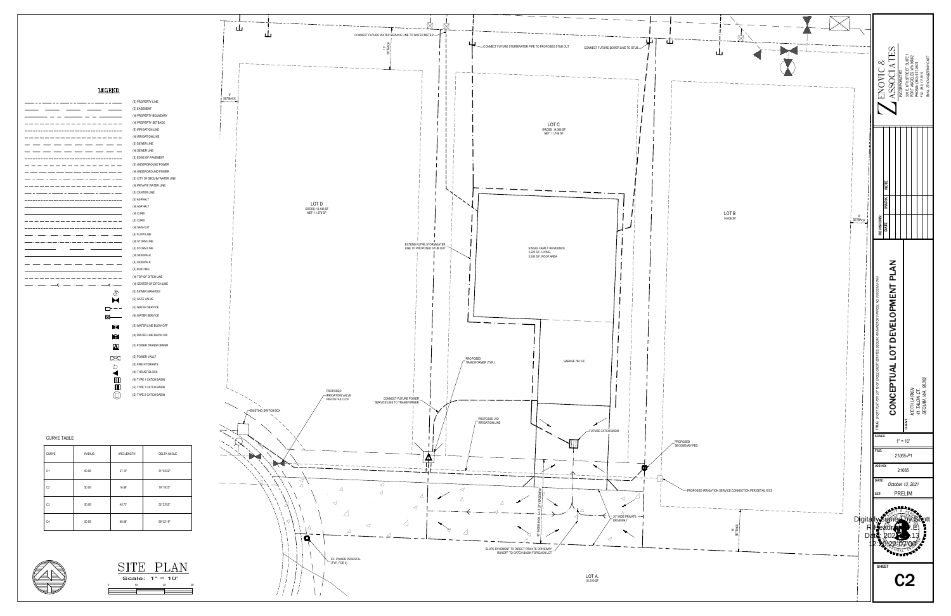

**COS COS** 

| <b>CURVE TABLE</b> |  |  |
|--------------------|--|--|

| <b>CURVE</b>   | <b>RADIUS</b> | ARC LENGTH | <b>DELTA ANGLE</b> |  |
|----------------|---------------|------------|--------------------|--|
| C <sub>1</sub> | 50.00'        | 27.10      | 31°03'22"          |  |
| C <sub>2</sub> | 50.00'        | 16.86'     | 19°19'25"          |  |
| C <sub>3</sub> | 50.00'        | 45.73'     | 52°23'55"          |  |
| C <sub>4</sub> | 50.00'        | 60.68'     | 69°32'19"          |  |





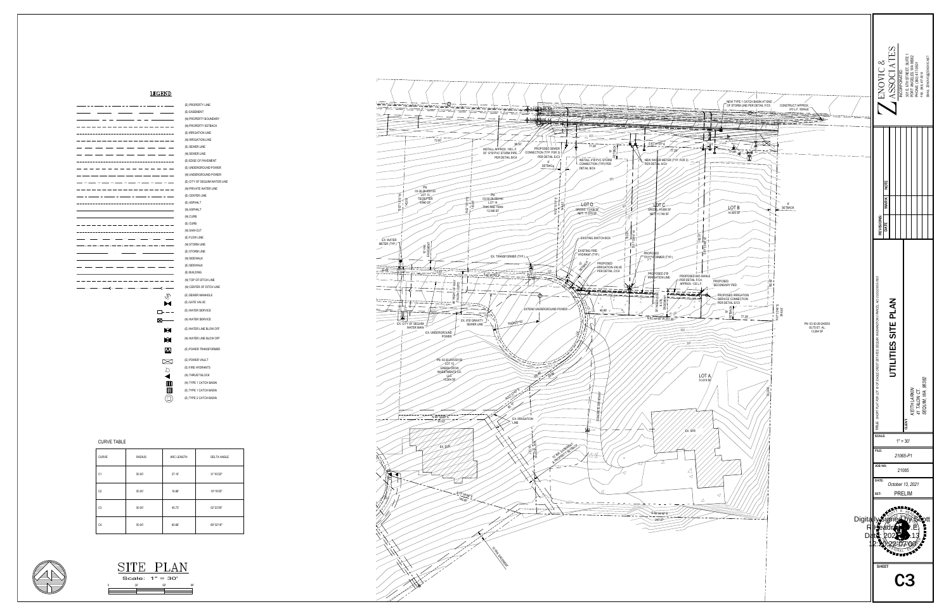CHAN THE SPECIES AND SURVEY CURVE TABLE<br>
SURVEY AND SURVEY CURVEY CURVEY CURVEY CURVEY AND CURVEY CURVEY CURVEY CURVEY CURVEY CURVEY CURVEY CURVEY CURVEY CURVEY CURVEY CURVEY CURVEY CURVEY CURVEY CURVEY CURVEY CURVEY CURVE EGEND<br>  $\overline{a}$  (systemative and systematical systematical systematical systematical systematical systematical systematical systematical systematical systematical systematical systematical systematical systematical system

(E) BUILDING<br>(N) TOP OF DITCH LINE<br>(N) CENTER OF DITCH LINE<br>(E) SEWER MANHOLE<br>(E) GATE VALVE (E) WATER SERVICE (E) PROPERTY LINE<br>
(E) EASEMENT<br>
(N) PROPERTY BOUNDARY<br>
(N) PROPERTY SETBACK<br>
(E) IRRIGATION LINE<br>
(E) SEWER LINE<br>
(E) SEWER LINE<br>
(E) DOGE OF PAVEMENT<br>
(E) UNDERGROUND POWER<br>
(N) UNDERGROUND POWER<br>
(E) CITY OF SEQUIM WATE (N) WATER SERVICE<br>(E) WATER LINE BLOW OFF<br>(N) WATER LINE BLOW OFF<br>(E) POWER TRANSFORMER (E) CURB<br>(N) SAW-CUT<br>(E) FLOW LINE<br>(E) STORM LINE<br>(E) STORM LINE<br>(N) SIDEWALK<br>(E) BUILDING<br>(N) TOP OF DITCH LINE<br>(N) CENTER OF DITCH LI<br>(E) SEWER MANHOLE<br>(E) SEWER MANHOLE<br>(E) OATER SERVICE<br>(E) WATER SERVICE<br>(E) WATER LINE (E) POWER VAULT<br>(E) FIRE HYDRANTS<br>(N) THRUST BLOCK<br>(N) TYPE 1 CATCH BASIN<br>(E) TYPE 1 CATCH BASIN (E) UNDERGROUND POWER<br>
(N) UNDERGROUND POWER<br>
(E) CITY OF SEQUIM WATER<br>
(E) CENTER LINE<br>
(E) CENTER LINE<br>
(E) ASPHALT<br>
(N) ASPHALT<br>
(N) CURB<br>
(E) CURB<br>
(N) SAW-CUT<br>
(E) FLOW LINE<br>
(N) STORM LINE<br>
(E) STORM LINE<br>
(E) SIDEWA

 $\frac{1}{\sqrt{2}}$ 

| <b>CURVE TABLE</b> |               |            |                    |
|--------------------|---------------|------------|--------------------|
| <b>CURVE</b>       | <b>RADIUS</b> | ARC LENGTH | <b>DELTA ANGLE</b> |
| C <sub>1</sub>     | 50.00'        | 27.10      | 31°03'22"          |
| C <sub>2</sub>     | 50.00'        | 16.86'     | 19°19'25"          |
| C <sub>3</sub>     | 50.00'        | 45.73'     | 52°23'55"          |
| C <sub>4</sub>     | 50.00'        | 60.68'     | 69°32'19"          |





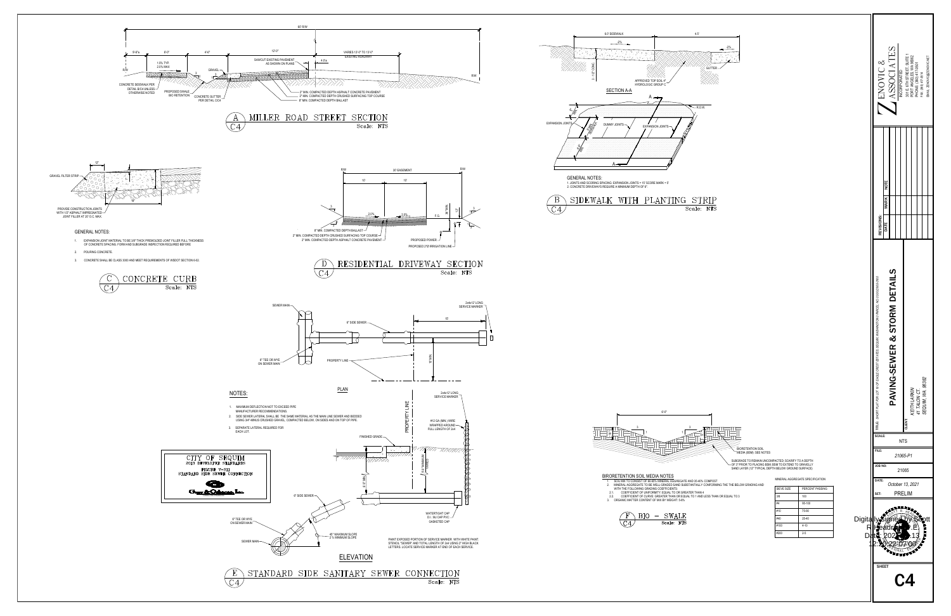